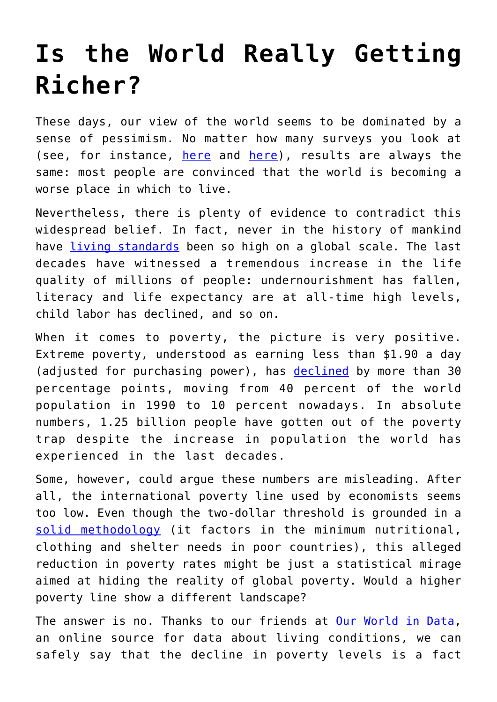## **[Is the World Really Getting](https://intellectualtakeout.org/2018/09/is-the-world-really-getting-richer/) [Richer?](https://intellectualtakeout.org/2018/09/is-the-world-really-getting-richer/)**

These days, our view of the world seems to be dominated by a sense of pessimism. No matter how many surveys you look at (see, for instance, [here](https://d25d2506sfb94s.cloudfront.net/cumulus_uploads/document/t2i3v4depz/HumanZooResults_150109_World_getting_worst.pdf) and [here\)](https://unherd.com/the-feed-blog/13-us-think-world-getting-better-67-say-worse-whos-right/), results are always the same: most people are convinced that the world is becoming a worse place in which to live.

Nevertheless, there is plenty of evidence to contradict this widespread belief. In fact, never in the history of mankind have [living standards](https://www.speakfreely.today/2017/03/26/evidence-not-lie-prosperity-conquering-world-leaps-bounds/) been so high on a global scale. The last decades have witnessed a tremendous increase in the life quality of millions of people: undernourishment has fallen, literacy and life expectancy are at all-time high levels, child labor has declined, and so on.

When it comes to poverty, the picture is very positive. Extreme poverty, understood as earning less than \$1.90 a day (adjusted for purchasing power), has [declined](https://www.speakfreely.today/2017/03/26/evidence-not-lie-prosperity-conquering-world-leaps-bounds/) by more than 30 percentage points, moving from 40 percent of the world population in 1990 to 10 percent nowadays. In absolute numbers, 1.25 billion people have gotten out of the poverty trap despite the increase in population the world has experienced in the last decades.

Some, however, could argue these numbers are misleading. After all, the international poverty line used by economists seems too low. Even though the two-dollar threshold is grounded in a [solid methodology](http://www.worldbank.org/en/topic/poverty/brief/global-poverty-line-faq) (it factors in the minimum nutritional, clothing and shelter needs in poor countries), this alleged reduction in poverty rates might be just a statistical mirage aimed at hiding the reality of global poverty. Would a higher poverty line show a different landscape?

The answer is no. Thanks to our friends at [Our World in Data,](https://ourworldindata.org/no-matter-what-global-poverty-line) an online source for data about living conditions, we can safely say that the decline in poverty levels is a fact